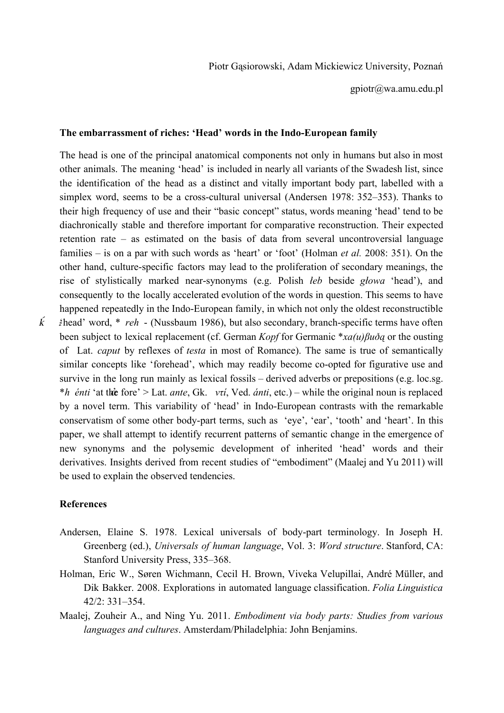gpiotr@wa.amu.edu.pl

## The embarrassment of riches: 'Head' words in the Indo-European family

The head is one of the principal anatomical components not only in humans but also in most other animals. The meaning 'head' is included in nearly all variants of the Swadesh list, since the identification of the head as a distinct and vitally important body part, labelled with a simplex word, seems to be a cross-cultural universal (Andersen  $1978: 352-353$ ). Thanks to their high frequency of use and their "basic concept" status, words meaning 'head' tend to be diachronically stable and therefore important for comparative reconstruction. Their expected retention rate – as estimated on the basis of data from several uncontroversial language families – is on a par with such words as 'heart' or 'foot' (Holman *et al.* 2008: 351). On the other hand, culture-specific factors may lead to the proliferation of secondary meanings, the rise of stylistically marked nearsynonyms (e.g. Polish *łeb* beside *głowa* 'head'), and consequently to the locally accelerated evolution of the words in question. This seems to have happened repeatedly in the Indo-European family, in which not only the oldest reconstructible  $\vec{k}$  *i*head' word, \* *reh* - (Nussbaum 1986), but also secondary, branch-specific terms have often been subject to lexical replacement (cf. German *Kopf* for Germanic \**xa(u)βuðą* or the ousting of Lat. *caput* by reflexes of *testa* in most of Romance). The same is true of semantically similar concepts like 'forehead', which may readily become co-opted for figurative use and survive in the long run mainly as lexical fossils – derived adverbs or prepositions (e.g. loc.sg. *\*h énti* 'at th**è** fore' > Lat. *ante*, Gk. *ντί*, Ved. *ánti*, etc.) – while the original noun is replaced by a novel term. This variability of 'head' in Indo-European contrasts with the remarkable conservatism of some other body-part terms, such as 'eye', 'ear', 'tooth' and 'heart'. In this paper, we shall attempt to identify recurrent patterns of semantic change in the emergence of new synonyms and the polysemic development of inherited 'head' words and their derivatives. Insights derived from recent studies of "embodiment" (Maalej and Yu 2011) will be used to explain the observed tendencies.

## **References**

- Andersen, Elaine S. 1978. Lexical universals of body-part terminology. In Joseph H. Greenberg (ed.), *Universals of human language*, Vol. 3: *Word structure*. Stanford, CA: Stanford University Press, 335–368.
- Holman, Eric W., Søren Wichmann, Cecil H. Brown, Viveka Velupillai, André Müller, and Dik Bakker. 2008. Explorations in automated language classification. *Folia Linguistica* 42/2: 331–354.
- Maalej, Zouheir A., and Ning Yu. 2011. *Embodiment via body parts: Studies from various languages and cultures*. Amsterdam/Philadelphia: John Benjamins.